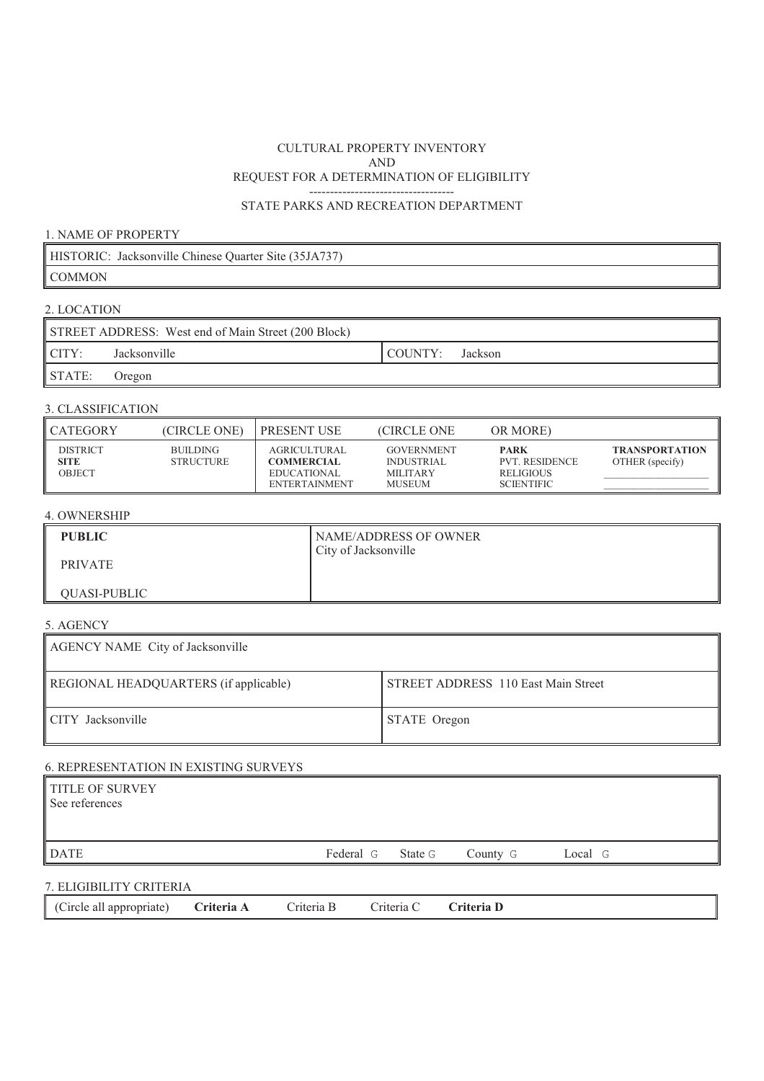#### REQUEST FOR A DETERMINATION OF ELIGIBILITY ----------------------------------- CULTURAL PROPERTY INVENTORY AND

## STATE PARKS AND RECREATION DEPARTMENT

### 1. NAME OF PROPERTY

|        | HISTORIC: Jacksonville Chinese Quarter Site (35JA737) |
|--------|-------------------------------------------------------|
| COMMON |                                                       |

# 2. LOCATION

|        | STREET ADDRESS: West end of Main Street (200 Block) |         |         |
|--------|-----------------------------------------------------|---------|---------|
| ICITY: | Jacksonville                                        | COUNTY: | Jackson |
| STATE: | Oregon                                              |         |         |

## 3. CLASSIFICATION

| <b>CATEGORY</b>                   | (CIRCLE ONE)                 | I PRESENT USE                                                            | <b>CIRCLE ONE</b>                                                          | OR MORE)                                                                      |                                          |
|-----------------------------------|------------------------------|--------------------------------------------------------------------------|----------------------------------------------------------------------------|-------------------------------------------------------------------------------|------------------------------------------|
| <b>DISTRICT</b><br>SITE<br>OBJECT | BUILDING<br><b>STRUCTURE</b> | AGRICULTURAL<br><b>COMMERCIAL</b><br>EDUCATIONAL<br><b>ENTERTAINMENT</b> | <b>GOVERNMENT</b><br><b>INDUSTRIAL</b><br><b>MILITARY</b><br><b>MUSEUM</b> | <b>PARK</b><br><b>PVT. RESIDENCE</b><br><b>RELIGIOUS</b><br><b>SCIENTIFIC</b> | <b>TRANSPORTATION</b><br>OTHER (specify) |

## 4. OWNERSHIP

| <b>PUBLIC</b>       | NAME/ADDRESS OF OWNER<br>City of Jacksonville |
|---------------------|-----------------------------------------------|
| <b>PRIVATE</b>      |                                               |
| <b>OUASI-PUBLIC</b> |                                               |

## 5. AGENCY

| AGENCY NAME City of Jacksonville      |                                     |
|---------------------------------------|-------------------------------------|
| REGIONAL HEADQUARTERS (if applicable) | STREET ADDRESS 110 East Main Street |
| CITY Jacksonville                     | STATE Oregon                        |

## 6. REPRESENTATION IN EXISTING SURVEYS

| TITLE OF SURVEY<br>See references |                   |          |         |  |
|-----------------------------------|-------------------|----------|---------|--|
| <b>DATE</b>                       | Federal G State G | County G | Local G |  |
|                                   |                   |          |         |  |

# 7. ELIGIBILITY CRITERIA

|--|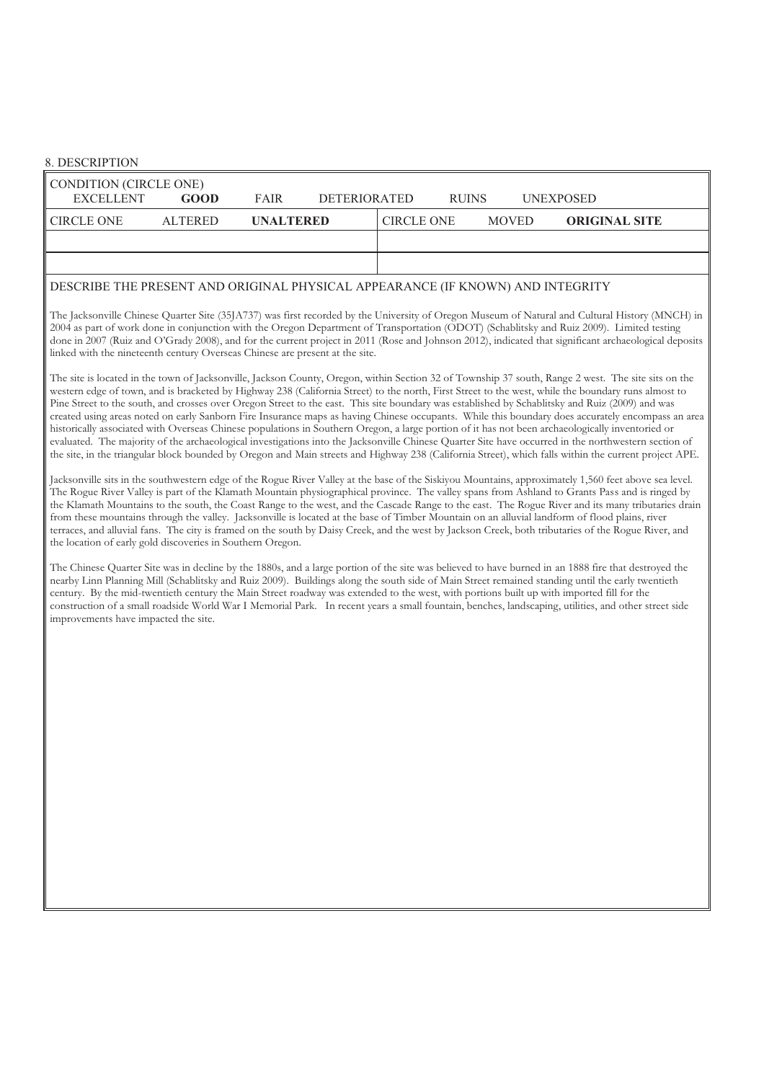## 8. DESCRIPTION

| CONDITION (CIRCLE ONE) |                |                  |              |                   |              |              |                      |  |
|------------------------|----------------|------------------|--------------|-------------------|--------------|--------------|----------------------|--|
| <b>EXCELLENT</b>       | GOOD           | <b>FAIR</b>      | DETERIORATED |                   | <b>RUINS</b> |              | <b>UNEXPOSED</b>     |  |
| <b>CIRCLE ONE</b>      | <b>ALTERED</b> | <b>UNALTERED</b> |              | <b>CIRCLE ONE</b> |              | <b>MOVED</b> | <b>ORIGINAL SITE</b> |  |
|                        |                |                  |              |                   |              |              |                      |  |
|                        |                |                  |              |                   |              |              |                      |  |

### DESCRIBE THE PRESENT AND ORIGINAL PHYSICAL APPEARANCE (IF KNOWN) AND INTEGRITY

 The Jacksonville Chinese Quarter Site (35JA737) was first recorded by the University of Oregon Museum of Natural and Cultural History (MNCH) in 2004 as part of work done in conjunction with the Oregon Department of Transportation (ODOT) (Schablitsky and Ruiz 2009). Limited testing done in 2007 (Ruiz and O'Grady 2008), and for the current project in 2011 (Rose and Johnson 2012), indicated that significant archaeological deposits linked with the nineteenth century Overseas Chinese are present at the site.

 The site is located in the town of Jacksonville, Jackson County, Oregon, within Section 32 of Township 37 south, Range 2 west. The site sits on the western edge of town, and is bracketed by Highway 238 (California Street) to the north, First Street to the west, while the boundary runs almost to Pine Street to the south, and crosses over Oregon Street to the east. This site boundary was established by Schablitsky and Ruiz (2009) and was created using areas noted on early Sanborn Fire Insurance maps as having Chinese occupants. While this boundary does accurately encompass an area historically associated with Overseas Chinese populations in Southern Oregon, a large portion of it has not been archaeologically inventoried or evaluated. The majority of the archaeological investigations into the Jacksonville Chinese Quarter Site have occurred in the northwestern section of the site, in the triangular block bounded by Oregon and Main streets and Highway 238 (California Street), which falls within the current project APE.

 Jacksonville sits in the southwestern edge of the Rogue River Valley at the base of the Siskiyou Mountains, approximately 1,560 feet above sea level. The Rogue River Valley is part of the Klamath Mountain physiographical province. The valley spans from Ashland to Grants Pass and is ringed by the Klamath Mountains to the south, the Coast Range to the west, and the Cascade Range to the east. The Rogue River and its many tributaries drain from these mountains through the valley. Jacksonville is located at the base of Timber Mountain on an alluvial landform of flood plains, river terraces, and alluvial fans. The city is framed on the south by Daisy Creek, and the west by Jackson Creek, both tributaries of the Rogue River, and the location of early gold discoveries in Southern Oregon.

 The Chinese Quarter Site was in decline by the 1880s, and a large portion of the site was believed to have burned in an 1888 fire that destroyed the nearby Linn Planning Mill (Schablitsky and Ruiz 2009). Buildings along the south side of Main Street remained standing until the early twentieth century. By the mid-twentieth century the Main Street roadway was extended to the west, with portions built up with imported fill for the construction of a small roadside World War I Memorial Park. In recent years a small fountain, benches, landscaping, utilities, and other street side improvements have impacted the site.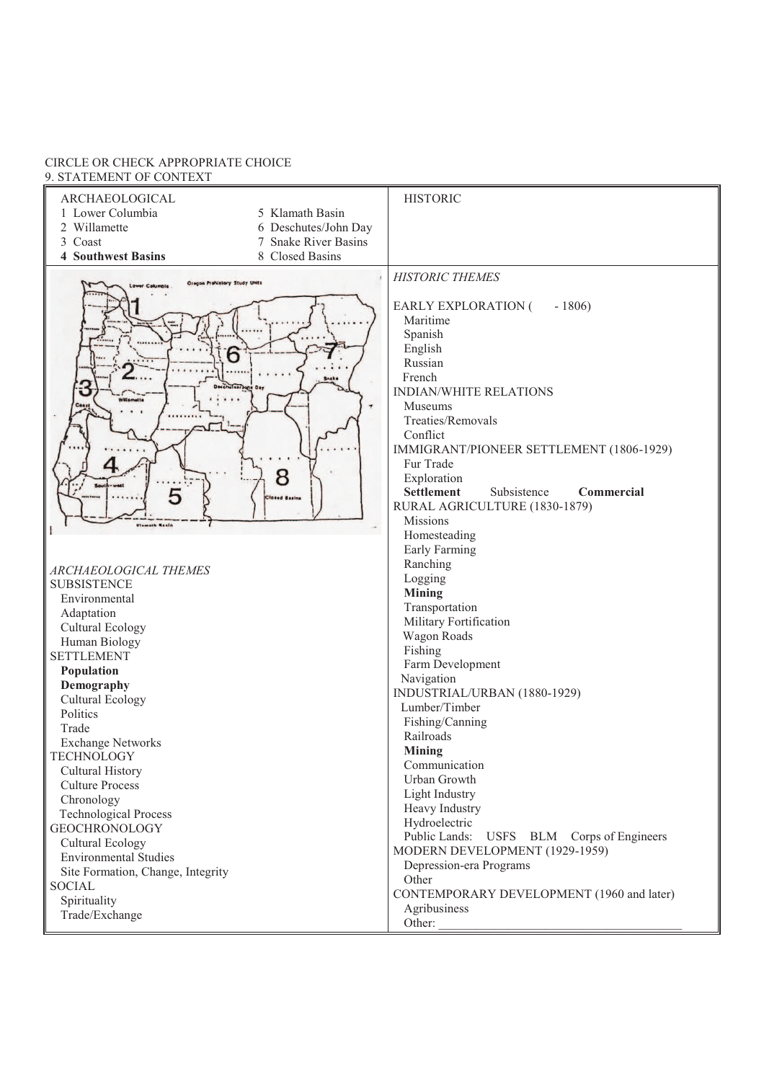#### CIRCLE OR CHECK APPROPRIATE CHOICE 9. STATEMENT OF CONTEXT

| ARCHAEOLOGICAL                                     | <b>HISTORIC</b>                                |
|----------------------------------------------------|------------------------------------------------|
| 1 Lower Columbia<br>5 Klamath Basin                |                                                |
| 2 Willamette<br>6 Deschutes/John Day               |                                                |
| 3 Coast<br>7 Snake River Basins                    |                                                |
| 8 Closed Basins<br><b>4 Southwest Basins</b>       |                                                |
| Oregon Prohistory Study Units                      | <b>HISTORIC THEMES</b>                         |
|                                                    |                                                |
|                                                    | EARLY EXPLORATION (<br>$-1806$                 |
|                                                    | Maritime                                       |
|                                                    | Spanish                                        |
| 6                                                  | English                                        |
|                                                    | Russian                                        |
| <b>Snake</b><br>Deschutes/Jone Day                 | French                                         |
| ΰ<br><b>Willamette</b>                             | <b>INDIAN/WHITE RELATIONS</b>                  |
| Ceas                                               | Museums                                        |
|                                                    | Treaties/Removals<br>Conflict                  |
|                                                    | IMMIGRANT/PIONEER SETTLEMENT (1806-1929)       |
|                                                    | Fur Trade                                      |
| 8                                                  | Exploration                                    |
|                                                    | <b>Settlement</b><br>Subsistence<br>Commercial |
| <b>losed Basins</b>                                | RURAL AGRICULTURE (1830-1879)                  |
| Vismath Rosin                                      | Missions                                       |
|                                                    | Homesteading                                   |
|                                                    | Early Farming                                  |
|                                                    | Ranching                                       |
| ARCHAEOLOGICAL THEMES<br><b>SUBSISTENCE</b>        | Logging                                        |
| Environmental                                      | <b>Mining</b>                                  |
| Adaptation                                         | Transportation                                 |
| <b>Cultural Ecology</b>                            | Military Fortification                         |
| Human Biology                                      | Wagon Roads                                    |
| <b>SETTLEMENT</b>                                  | Fishing                                        |
| Population                                         | Farm Development                               |
| Demography                                         | Navigation                                     |
| Cultural Ecology                                   | INDUSTRIAL/URBAN (1880-1929)                   |
| Politics                                           | Lumber/Timber                                  |
| Trade                                              | Fishing/Canning<br>Railroads                   |
| <b>Exchange Networks</b>                           | Mining                                         |
| <b>TECHNOLOGY</b>                                  | Communication                                  |
| Cultural History                                   | Urban Growth                                   |
| <b>Culture Process</b>                             | Light Industry                                 |
| Chronology                                         | Heavy Industry                                 |
| <b>Technological Process</b>                       | Hydroelectric                                  |
| <b>GEOCHRONOLOGY</b>                               | Public Lands: USFS BLM Corps of Engineers      |
| <b>Cultural Ecology</b>                            | MODERN DEVELOPMENT (1929-1959)                 |
| <b>Environmental Studies</b>                       | Depression-era Programs                        |
| Site Formation, Change, Integrity<br><b>SOCIAL</b> | Other                                          |
| Spirituality                                       | CONTEMPORARY DEVELOPMENT (1960 and later)      |
| Trade/Exchange                                     | Agribusiness                                   |
|                                                    | Other:                                         |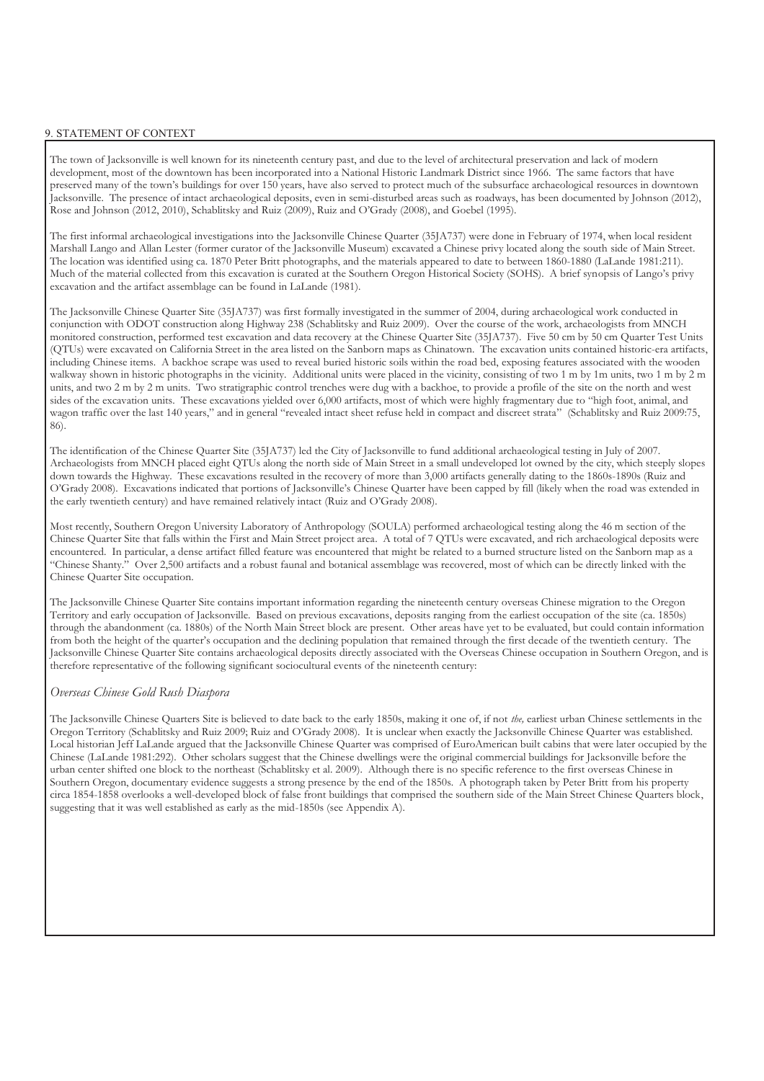#### 9. STATEMENT OF CONTEXT

 The town of Jacksonville is well known for its nineteenth century past, and due to the level of architectural preservation and lack of modern development, most of the downtown has been incorporated into a National Historic Landmark District since 1966. The same factors that have preserved many of the town's buildings for over 150 years, have also served to protect much of the subsurface archaeological resources in downtown Jacksonville. The presence of intact archaeological deposits, even in semi-disturbed areas such as roadways, has been documented by Johnson (2012), Rose and Johnson (2012, 2010), Schablitsky and Ruiz (2009), Ruiz and O'Grady (2008), and Goebel (1995).

 The first informal archaeological investigations into the Jacksonville Chinese Quarter (35JA737) were done in February of 1974, when local resident Marshall Lango and Allan Lester (former curator of the Jacksonville Museum) excavated a Chinese privy located along the south side of Main Street. The location was identified using ca. 1870 Peter Britt photographs, and the materials appeared to date to between 1860-1880 (LaLande 1981:211). Much of the material collected from this excavation is curated at the Southern Oregon Historical Society (SOHS). A brief synopsis of Lango's privy excavation and the artifact assemblage can be found in LaLande (1981).

 The Jacksonville Chinese Quarter Site (35JA737) was first formally investigated in the summer of 2004, during archaeological work conducted in conjunction with ODOT construction along Highway 238 (Schablitsky and Ruiz 2009). Over the course of the work, archaeologists from MNCH monitored construction, performed test excavation and data recovery at the Chinese Quarter Site (35JA737). Five 50 cm by 50 cm Quarter Test Units (QTUs) were excavated on California Street in the area listed on the Sanborn maps as Chinatown. The excavation units contained historic-era artifacts, including Chinese items. A backhoe scrape was used to reveal buried historic soils within the road bed, exposing features associated with the wooden walkway shown in historic photographs in the vicinity. Additional units were placed in the vicinity, consisting of two 1 m by 1m units, two 1 m by 2 m units, and two 2 m by 2 m units. Two stratigraphic control trenches were dug with a backhoe, to provide a profile of the site on the north and west sides of the excavation units. These excavations yielded over 6,000 artifacts, most of which were highly fragmentary due to "high foot, animal, and wagon traffic over the last 140 years," and in general "revealed intact sheet refuse held in compact and discreet strata" (Schablitsky and Ruiz 2009:75,

 86). The identification of the Chinese Quarter Site (35JA737) led the City of Jacksonville to fund additional archaeological testing in July of 2007. Archaeologists from MNCH placed eight QTUs along the north side of Main Street in a small undeveloped lot owned by the city, which steeply slopes down towards the Highway. These excavations resulted in the recovery of more than 3,000 artifacts generally dating to the 1860s-1890s (Ruiz and O'Grady 2008). Excavations indicated that portions of Jacksonville's Chinese Quarter have been capped by fill (likely when the road was extended in the early twentieth century) and have remained relatively intact (Ruiz and O'Grady 2008).

 Most recently, Southern Oregon University Laboratory of Anthropology (SOULA) performed archaeological testing along the 46 m section of the Chinese Quarter Site that falls within the First and Main Street project area. A total of 7 QTUs were excavated, and rich archaeological deposits were encountered. In particular, a dense artifact filled feature was encountered that might be related to a burned structure listed on the Sanborn map as a "Chinese Shanty." Over 2,500 artifacts and a robust faunal and botanical assemblage was recovered, most of which can be directly linked with the Chinese Quarter Site occupation.

Chinese Quarter Site occupation.<br>The Jacksonville Chinese Quarter Site contains important information regarding the nineteenth century overseas Chinese migration to the Oregon Territory and early occupation of Jacksonville. Based on previous excavations, deposits ranging from the earliest occupation of the site (ca. 1850s) through the abandonment (ca. 1880s) of the North Main Street block are present. Other areas have yet to be evaluated, but could contain information from both the height of the quarter's occupation and the declining population that remained through the first decade of the twentieth century. The Jacksonville Chinese Quarter Site contains archaeological deposits directly associated with the Overseas Chinese occupation in Southern Oregon, and is therefore representative of the following significant sociocultural events of the nineteenth century:

#### *Overseas Chinese Gold Rush Diaspora*

 The Jacksonville Chinese Quarters Site is believed to date back to the early 1850s, making it one of, if not *the,* earliest urban Chinese settlements in the Oregon Territory (Schablitsky and Ruiz 2009; Ruiz and O'Grady 2008). It is unclear when exactly the Jacksonville Chinese Quarter was established. Local historian Jeff LaLande argued that the Jacksonville Chinese Quarter was comprised of EuroAmerican built cabins that were later occupied by the Chinese (LaLande 1981:292). Other scholars suggest that the Chinese dwellings were the original commercial buildings for Jacksonville before the urban center shifted one block to the northeast (Schablitsky et al. 2009). Although there is no specific reference to the first overseas Chinese in Southern Oregon, documentary evidence suggests a strong presence by the end of the 1850s. A photograph taken by Peter Britt from his property circa 1854-1858 overlooks a well-developed block of false front buildings that comprised the southern side of the Main Street Chinese Quarters block, suggesting that it was well established as early as the mid-1850s (see Appendix A).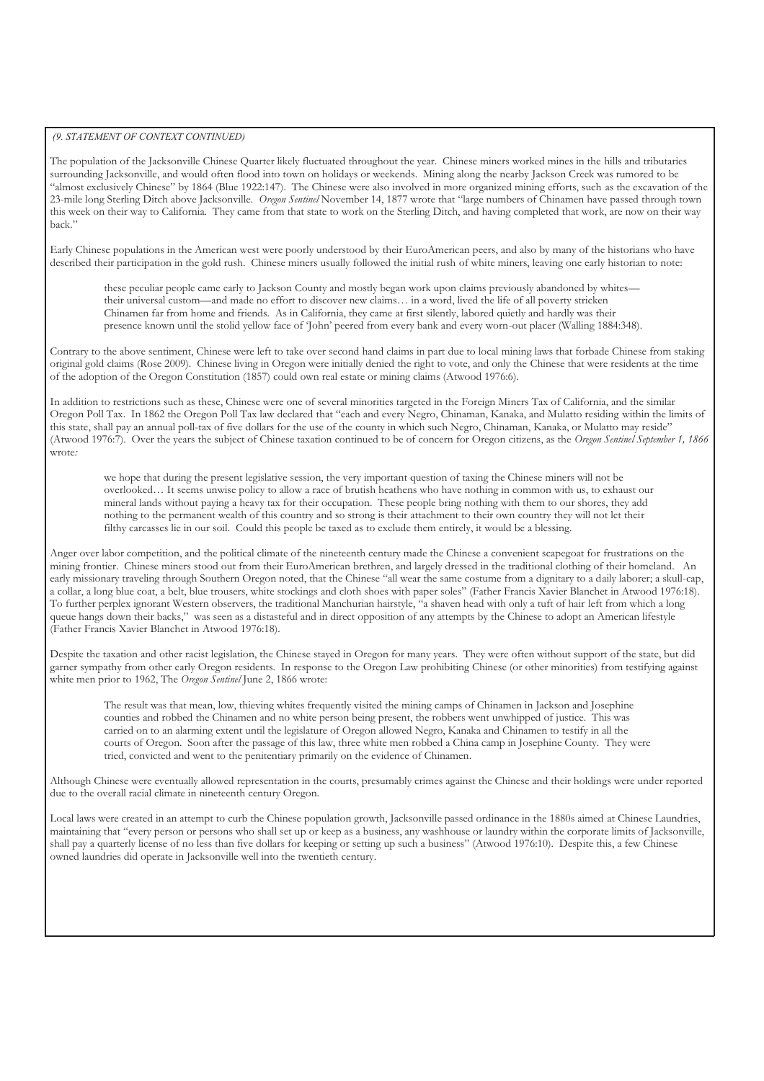#### *(9. STATEMENT OF CONTEXT CONTINUED)*

 The population of the Jacksonville Chinese Quarter likely fluctuated throughout the year. Chinese miners worked mines in the hills and tributaries surrounding Jacksonville, and would often flood into town on holidays or weekends. Mining along the nearby Jackson Creek was rumored to be "almost exclusively Chinese" by 1864 (Blue 1922:147). The Chinese were also involved in more organized mining efforts, such as the excavation of the 23-mile long Sterling Ditch above Jacksonville. *Oregon Sentinel* November 14, 1877 wrote that "large numbers of Chinamen have passed through town this week on their way to California. They came from that state to work on the Sterling Ditch, and having completed that work, are now on their way

back."<br>Early Chinese populations in the American west were poorly understood by their EuroAmerican peers, and also by many of the historians who have described their participation in the gold rush. Chinese miners usually followed the initial rush of white miners, leaving one early historian to note:

 these peculiar people came early to Jackson County and mostly began work upon claims previously abandoned by whites— their universal custom—and made no effort to discover new claims… in a word, lived the life of all poverty stricken Chinamen far from home and friends. As in California, they came at first silently, labored quietly and hardly was their presence known until the stolid yellow face of 'John' peered from every bank and every worn-out placer (Walling 1884:348).

 Contrary to the above sentiment, Chinese were left to take over second hand claims in part due to local mining laws that forbade Chinese from staking original gold claims (Rose 2009). Chinese living in Oregon were initially denied the right to vote, and only the Chinese that were residents at the time of the adoption of the Oregon Constitution (1857) could own real estate or mining claims (Atwood 1976:6).

 In addition to restrictions such as these, Chinese were one of several minorities targeted in the Foreign Miners Tax of California, and the similar Oregon Poll Tax. In 1862 the Oregon Poll Tax law declared that "each and every Negro, Chinaman, Kanaka, and Mulatto residing within the limits of this state, shall pay an annual poll-tax of five dollars for the use of the county in which such Negro, Chinaman, Kanaka, or Mulatto may reside" (Atwood 1976:7). Over the years the subject of Chinese taxation continued to be of concern for Oregon citizens, as the *Oregon Sentinel September 1, 1866*  wrote*:* 

 we hope that during the present legislative session, the very important question of taxing the Chinese miners will not be overlooked… It seems unwise policy to allow a race of brutish heathens who have nothing in common with us, to exhaust our mineral lands without paying a heavy tax for their occupation. These people bring nothing with them to our shores, they add nothing to the permanent wealth of this country and so strong is their attachment to their own country they will not let their filthy carcasses lie in our soil. Could this people be taxed as to exclude them entirely, it would be a blessing.

 Anger over labor competition, and the political climate of the nineteenth century made the Chinese a convenient scapegoat for frustrations on the mining frontier. Chinese miners stood out from their EuroAmerican brethren, and largely dressed in the traditional clothing of their homeland. An early missionary traveling through Southern Oregon noted, that the Chinese "all wear the same costume from a dignitary to a daily laborer; a skull-cap, a collar, a long blue coat, a belt, blue trousers, white stockings and cloth shoes with paper soles" (Father Francis Xavier Blanchet in Atwood 1976:18). To further perplex ignorant Western observers, the traditional Manchurian hairstyle, "a shaven head with only a tuft of hair left from which a long queue hangs down their backs," was seen as a distasteful and in direct opposition of any attempts by the Chinese to adopt an American lifestyle (Father Francis Xavier Blanchet in Atwood 1976:18).

 Despite the taxation and other racist legislation, the Chinese stayed in Oregon for many years. They were often without support of the state, but did garner sympathy from other early Oregon residents. In response to the Oregon Law prohibiting Chinese (or other minorities) from testifying against white men prior to 1962, The *Oregon Sentinel* June 2, 1866 wrote:

 The result was that mean, low, thieving whites frequently visited the mining camps of Chinamen in Jackson and Josephine counties and robbed the Chinamen and no white person being present, the robbers went unwhipped of justice. This was carried on to an alarming extent until the legislature of Oregon allowed Negro, Kanaka and Chinamen to testify in all the courts of Oregon. Soon after the passage of this law, three white men robbed a China camp in Josephine County. They were tried, convicted and went to the penitentiary primarily on the evidence of Chinamen.

 Although Chinese were eventually allowed representation in the courts, presumably crimes against the Chinese and their holdings were under reported due to the overall racial climate in nineteenth century Oregon.

 Local laws were created in an attempt to curb the Chinese population growth, Jacksonville passed ordinance in the 1880s aimed at Chinese Laundries, maintaining that "every person or persons who shall set up or keep as a business, any washhouse or laundry within the corporate limits of Jacksonville, shall pay a quarterly license of no less than five dollars for keeping or setting up such a business" (Atwood 1976:10). Despite this, a few Chinese owned laundries did operate in Jacksonville well into the twentieth century.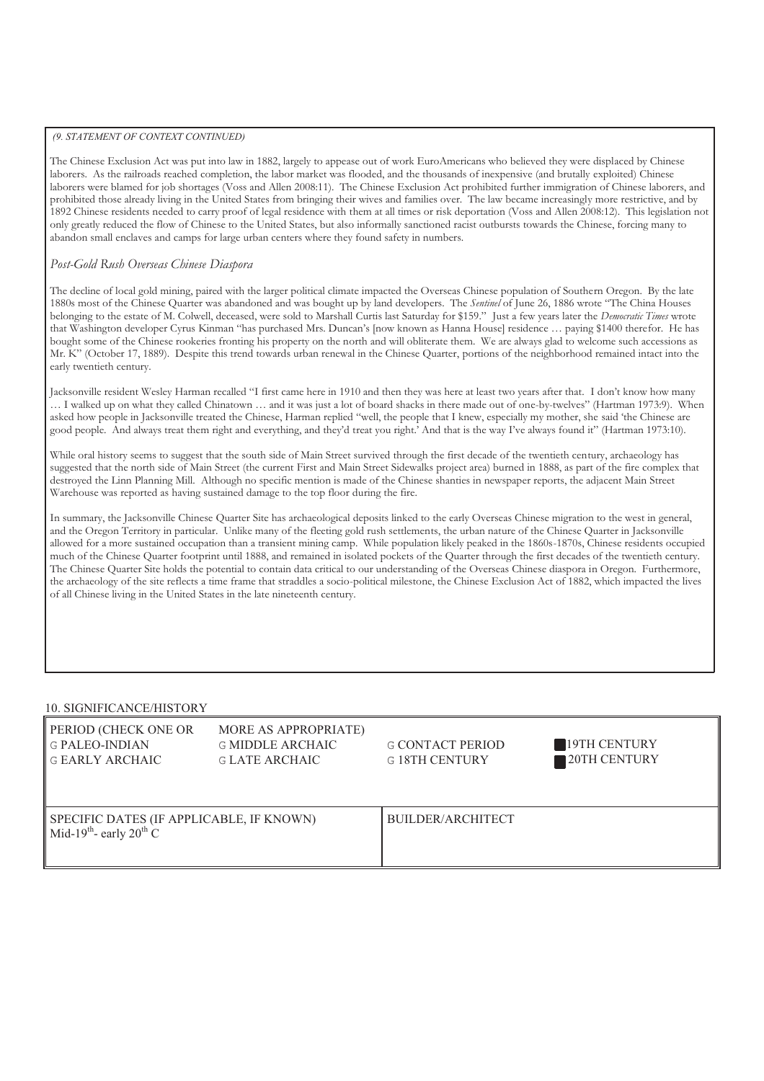#### *(9. STATEMENT OF CONTEXT CONTINUED)*

 The Chinese Exclusion Act was put into law in 1882, largely to appease out of work EuroAmericans who believed they were displaced by Chinese laborers. As the railroads reached completion, the labor market was flooded, and the thousands of inexpensive (and brutally exploited) Chinese laborers were blamed for job shortages (Voss and Allen 2008:11). The Chinese Exclusion Act prohibited further immigration of Chinese laborers, and prohibited those already living in the United States from bringing their wives and families over. The law became increasingly more restrictive, and by 1892 Chinese residents needed to carry proof of legal residence with them at all times or risk deportation (Voss and Allen 2008:12). This legislation not only greatly reduced the flow of Chinese to the United States, but also informally sanctioned racist outbursts towards the Chinese, forcing many to abandon small enclaves and camps for large urban centers where they found safety in numbers.

## *Post-Gold Rush Overseas Chinese Diaspora*

 The decline of local gold mining, paired with the larger political climate impacted the Overseas Chinese population of Southern Oregon. By the late 1880s most of the Chinese Quarter was abandoned and was bought up by land developers. The *Sentinel* of June 26, 1886 wrote "The China Houses belonging to the estate of M. Colwell, deceased, were sold to Marshall Curtis last Saturday for \$159." Just a few years later the *Democratic Times* wrote that Washington developer Cyrus Kinman "has purchased Mrs. Duncan's [now known as Hanna House] residence … paying \$1400 therefor. He has bought some of the Chinese rookeries fronting his property on the north and will obliterate them. We are always glad to welcome such accessions as Mr. K" (October 17, 1889). Despite this trend towards urban renewal in the Chinese Quarter, portions of the neighborhood remained intact into the early twentieth century.

early twentieth century.<br>Jacksonville resident Wesley Harman recalled "I first came here in 1910 and then they was here at least two years after that. I don't know how many … I walked up on what they called Chinatown … and it was just a lot of board shacks in there made out of one-by-twelves" (Hartman 1973:9). When asked how people in Jacksonville treated the Chinese, Harman replied "well, the people that I knew, especially my mother, she said 'the Chinese are good people. And always treat them right and everything, and they'd treat you right.' And that is the way I've always found it" (Hartman 1973:10).

 While oral history seems to suggest that the south side of Main Street survived through the first decade of the twentieth century, archaeology has suggested that the north side of Main Street (the current First and Main Street Sidewalks project area) burned in 1888, as part of the fire complex that destroyed the Linn Planning Mill. Although no specific mention is made of the Chinese shanties in newspaper reports, the adjacent Main Street Warehouse was reported as having sustained damage to the top floor during the fire.

 In summary, the Jacksonville Chinese Quarter Site has archaeological deposits linked to the early Overseas Chinese migration to the west in general, and the Oregon Territory in particular. Unlike many of the fleeting gold rush settlements, the urban nature of the Chinese Quarter in Jacksonville allowed for a more sustained occupation than a transient mining camp. While population likely peaked in the 1860s-1870s, Chinese residents occupied much of the Chinese Quarter footprint until 1888, and remained in isolated pockets of the Quarter through the first decades of the twentieth century. The Chinese Quarter Site holds the potential to contain data critical to our understanding of the Overseas Chinese diaspora in Oregon. Furthermore, the archaeology of the site reflects a time frame that straddles a socio-political milestone, the Chinese Exclusion Act of 1882, which impacted the lives of all Chinese living in the United States in the late nineteenth century.

#### 10. SIGNIFICANCE/HISTORY

| <b>PERIOD (CHECK ONE OR</b><br><b>G PALEO-INDIAN</b><br>I G EARLY ARCHAIC                   | MORE AS APPROPRIATE)<br><b>G MIDDLE ARCHAIC</b><br>G LATE ARCHAIC | <b>G CONTACT PERIOD</b><br><b>G18TH CENTURY</b> | 19TH CENTURY<br><b>20TH CENTURY</b> |
|---------------------------------------------------------------------------------------------|-------------------------------------------------------------------|-------------------------------------------------|-------------------------------------|
| SPECIFIC DATES (IF APPLICABLE, IF KNOWN)<br>Mid-19 <sup>th</sup> - early 20 <sup>th</sup> C |                                                                   | BUILDER/ARCHITECT                               |                                     |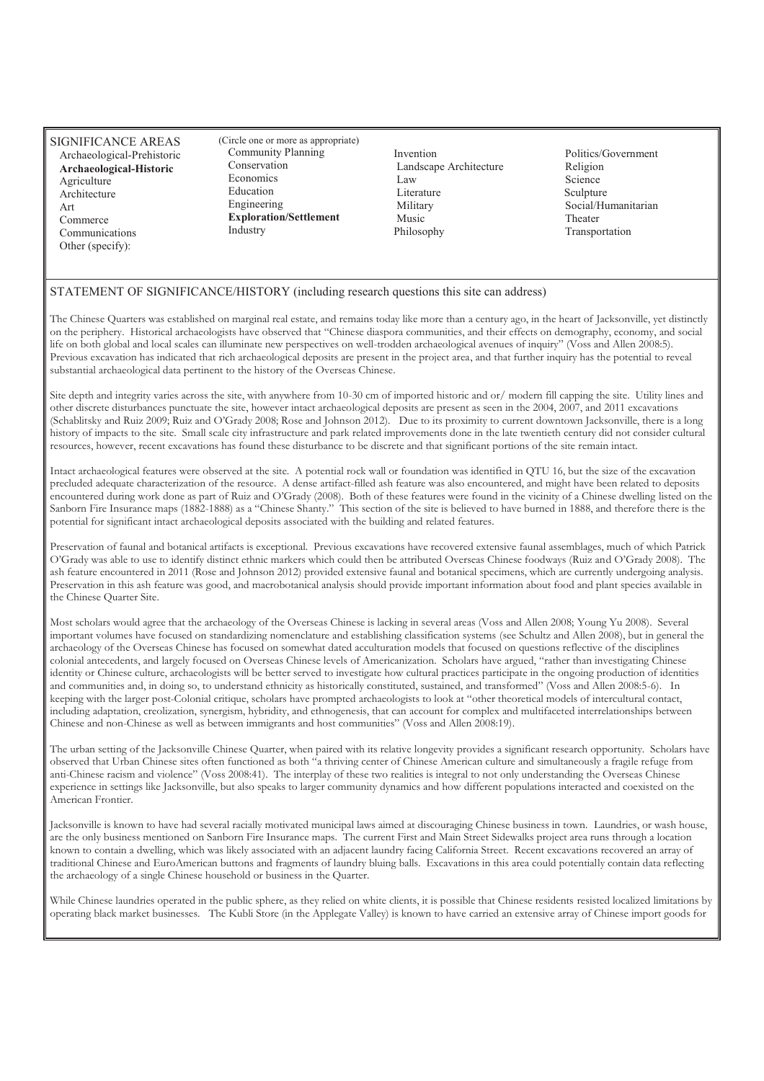SIGNIFICANCE AREAS **Archaeological-Historic**<br>Agriculture Communications Other (specify):

(Circle one or more as appropriate) Community Planning<br>Conservation Economics Education Engineering Industry Archaeological-Prehistoric Community Planning Invention Politics/Government Agriculture Economics Economics Law Science Architecture Education Education Literature Sculpture Art Engineering Military Social/Humanitarian<br>
Commerce Exploration/Settlement Music Theater Theater  $Exploration/Set$ thement

Landscape Architecture Law Literature Military Music<br>Philosophy

Religion Science<br>Sculpture Theater<br>Transportation

## STATEMENT OF SIGNIFICANCE/HISTORY (including research questions this site can address)

 The Chinese Quarters was established on marginal real estate, and remains today like more than a century ago, in the heart of Jacksonville, yet distinctly on the periphery. Historical archaeologists have observed that "Chinese diaspora communities, and their effects on demography, economy, and social life on both global and local scales can illuminate new perspectives on well-trodden archaeological avenues of inquiry" (Voss and Allen 2008:5). Previous excavation has indicated that rich archaeological deposits are present in the project area, and that further inquiry has the potential to reveal substantial archaeological data pertinent to the history of the Overseas Chinese.

 Site depth and integrity varies across the site, with anywhere from 10-30 cm of imported historic and or/ modern fill capping the site. Utility lines and other discrete disturbances punctuate the site, however intact archaeological deposits are present as seen in the 2004, 2007, and 2011 excavations (Schablitsky and Ruiz 2009; Ruiz and O'Grady 2008; Rose and Johnson 2012). Due to its proximity to current downtown Jacksonville, there is a long history of impacts to the site. Small scale city infrastructure and park related improvements done in the late twentieth century did not consider cultural resources, however, recent excavations has found these disturbance to be discrete and that significant portions of the site remain intact.

 Intact archaeological features were observed at the site. A potential rock wall or foundation was identified in QTU 16, but the size of the excavation precluded adequate characterization of the resource. A dense artifact-filled ash feature was also encountered, and might have been related to deposits encountered during work done as part of Ruiz and O'Grady (2008). Both of these features were found in the vicinity of a Chinese dwelling listed on the Sanborn Fire Insurance maps (1882-1888) as a "Chinese Shanty." This section of the site is believed to have burned in 1888, and therefore there is the potential for significant intact archaeological deposits associated with the building and related features.

 Preservation of faunal and botanical artifacts is exceptional. Previous excavations have recovered extensive faunal assemblages, much of which Patrick O'Grady was able to use to identify distinct ethnic markers which could then be attributed Overseas Chinese foodways (Ruiz and O'Grady 2008). The ash feature encountered in 2011 (Rose and Johnson 2012) provided extensive faunal and botanical specimens, which are currently undergoing analysis. Preservation in this ash feature was good, and macrobotanical analysis should provide important information about food and plant species available in the Chinese Quarter Site.

 Most scholars would agree that the archaeology of the Overseas Chinese is lacking in several areas (Voss and Allen 2008; Young Yu 2008). Several important volumes have focused on standardizing nomenclature and establishing classification systems (see Schultz and Allen 2008), but in general the archaeology of the Overseas Chinese has focused on somewhat dated acculturation models that focused on questions reflective of the disciplines colonial antecedents, and largely focused on Overseas Chinese levels of Americanization. Scholars have argued, "rather than investigating Chinese identity or Chinese culture, archaeologists will be better served to investigate how cultural practices participate in the ongoing production of identities and communities and, in doing so, to understand ethnicity as historically constituted, sustained, and transformed" (Voss and Allen 2008:5-6). In keeping with the larger post-Colonial critique, scholars have prompted archaeologists to look at "other theoretical models of intercultural contact, including adaptation, creolization, synergism, hybridity, and ethnogenesis, that can account for complex and multifaceted interrelationships between Chinese and non-Chinese as well as between immigrants and host communities" (Voss and Allen 2008:19).

 The urban setting of the Jacksonville Chinese Quarter, when paired with its relative longevity provides a significant research opportunity. Scholars have observed that Urban Chinese sites often functioned as both "a thriving center of Chinese American culture and simultaneously a fragile refuge from anti-Chinese racism and violence" (Voss 2008:41). The interplay of these two realities is integral to not only understanding the Overseas Chinese experience in settings like Jacksonville, but also speaks to larger community dynamics and how different populations interacted and coexisted on the American Frontier.

 Jacksonville is known to have had several racially motivated municipal laws aimed at discouraging Chinese business in town. Laundries, or wash house, are the only business mentioned on Sanborn Fire Insurance maps. The current First and Main Street Sidewalks project area runs through a location known to contain a dwelling, which was likely associated with an adjacent laundry facing California Street. Recent excavations recovered an array of traditional Chinese and EuroAmerican buttons and fragments of laundry bluing balls. Excavations in this area could potentially contain data reflecting the archaeology of a single Chinese household or business in the Quarter.

 While Chinese laundries operated in the public sphere, as they relied on white clients, it is possible that Chinese residents resisted localized limitations by operating black market businesses. The Kubli Store (in the Applegate Valley) is known to have carried an extensive array of Chinese import goods for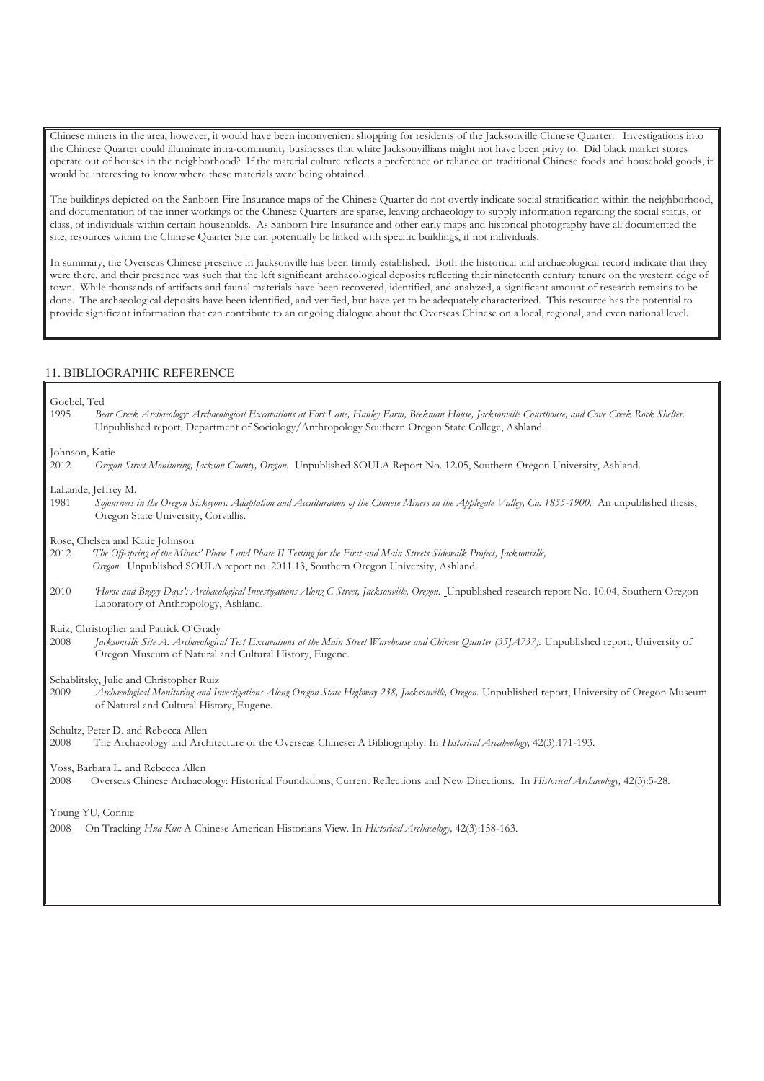Chinese miners in the area, however, it would have been inconvenient shopping for residents of the Jacksonville Chinese Quarter. Investigations into the Chinese Quarter could illuminate intra-community businesses that white Jacksonvillians might not have been privy to. Did black market stores operate out of houses in the neighborhood? If the material culture reflects a preference or reliance on traditional Chinese foods and household goods, it would be interesting to know where these materials were being obtained.

 The buildings depicted on the Sanborn Fire Insurance maps of the Chinese Quarter do not overtly indicate social stratification within the neighborhood, and documentation of the inner workings of the Chinese Quarters are sparse, leaving archaeology to supply information regarding the social status, or class, of individuals within certain households. As Sanborn Fire Insurance and other early maps and historical photography have all documented the site, resources within the Chinese Quarter Site can potentially be linked with specific buildings, if not individuals.

 In summary, the Overseas Chinese presence in Jacksonville has been firmly established. Both the historical and archaeological record indicate that they were there, and their presence was such that the left significant archaeological deposits reflecting their nineteenth century tenure on the western edge of town. While thousands of artifacts and faunal materials have been recovered, identified, and analyzed, a significant amount of research remains to be done. The archaeological deposits have been identified, and verified, but have yet to be adequately characterized. This resource has the potential to provide significant information that can contribute to an ongoing dialogue about the Overseas Chinese on a local, regional, and even national level.

#### 11. BIBLIOGRAPHIC REFERENCE

Goebel, Ted

 1995 *Bear Creek Archaeology: Archaeological Excavations at Fort Lane, Hanley Farm, Beekman House, Jacksonville Courthouse, and Cove Creek Rock Shelter.*  Unpublished report, Department of Sociology/Anthropology Southern Oregon State College, Ashland.

Johnson, Katie

 2012 *Oregon Street Monitoring, Jackson County, Oregon.* Unpublished SOULA Report No. 12.05, Southern Oregon University, Ashland.

LaLande, Jeffrey M.

1981 Sojourners in the Oregon Siskiyous: Adaptation and Acculturation of the Chinese Miners in the Applegate Valley, Ca. 1855-1900. An unpublished thesis, Oregon State University, Corvallis.

Rose, Chelsea and Katie Johnson

2012 *'The Off-spring of the Mines:' Phase I and Phase II Testing for the First and Main Streets Sidewalk Project, Jacksonville, Oregon.* Unpublished SOULA report no. 2011.13, Southern Oregon University, Ashland.

 Laboratory of Anthropology, Ashland. 2010 *Horse and Buggy Days': Archaeological Investigations Along C Street, Jacksonville, Oregon.* Unpublished research report No. 10.04, Southern Oregon

Ruiz, Christopher and Patrick O'Grady<br>2008 *Iacksonville Site A: Archaeologic* 

2008 *Jacksonville Site A: Archaeological Test Excavations at the Main Street Warehouse and Chinese Quarter (35JA737). Unpublished report, University of* Oregon Museum of Natural and Cultural History, Eugene.

Schablitsky, Julie and Christopher Ruiz

 2009 *Archaeological Monitoring and Investigations Along Oregon State Highway 238, Jacksonville, Oregon.* Unpublished report, University of Oregon Museum of Natural and Cultural History, Eugene.

Schultz, Peter D. and Rebecca Allen

2008 The Archaeology and Architecture of the Overseas Chinese: A Bibliography. In *Historical Arcaheology,* 42(3):171-193.

Voss, Barbara L. and Rebecca Allen

2008 Overseas Chinese Archaeology: Historical Foundations, Current Reflections and New Directions. In *Historical Archaeology,* 42(3):5-28.

Young YU, Connie

2008 On Tracking *Hua Kiu:* A Chinese American Historians View. In *Historical Archaeology,* 42(3):158-163.